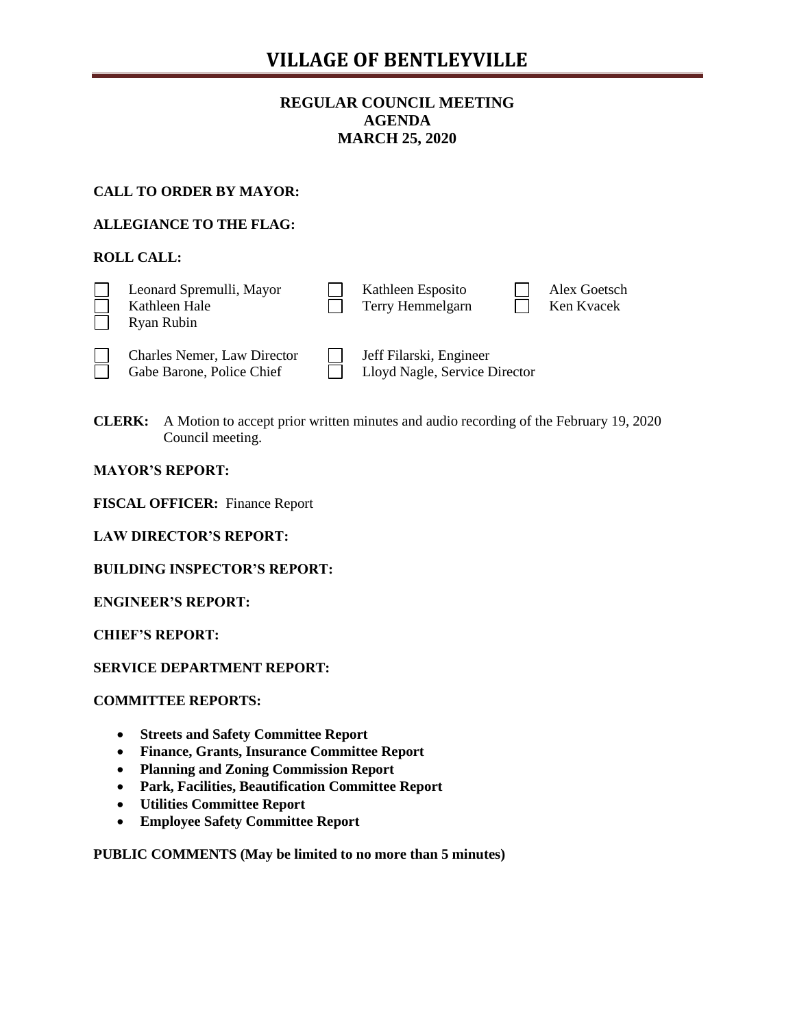# **VILLAGE OF BENTLEYVILLE**

# **REGULAR COUNCIL MEETING AGENDA MARCH 25, 2020**

# **CALL TO ORDER BY MAYOR:**

# **ALLEGIANCE TO THE FLAG:**

# **ROLL CALL:**

| Leonard Spremulli, Mayor<br>Kathleen Hale<br>Ryan Rubin         | Kathleen Esposito<br>Terry Hemmelgarn                    |  | Alex Goetsch<br>Ken Kvacek |
|-----------------------------------------------------------------|----------------------------------------------------------|--|----------------------------|
| <b>Charles Nemer, Law Director</b><br>Gabe Barone, Police Chief | Jeff Filarski, Engineer<br>Lloyd Nagle, Service Director |  |                            |

**CLERK:** A Motion to accept prior written minutes and audio recording of the February 19, 2020 Council meeting.

## **MAYOR'S REPORT:**

**FISCAL OFFICER:** Finance Report

|  | <b>LAW DIRECTOR'S REPORT:</b> |  |  |  |
|--|-------------------------------|--|--|--|
|--|-------------------------------|--|--|--|

**BUILDING INSPECTOR'S REPORT:**

**ENGINEER'S REPORT:**

**CHIEF'S REPORT:**

**SERVICE DEPARTMENT REPORT:**

#### **COMMITTEE REPORTS:**

- **Streets and Safety Committee Report**
- **Finance, Grants, Insurance Committee Report**
- **Planning and Zoning Commission Report**
- **Park, Facilities, Beautification Committee Report**
- **Utilities Committee Report**
- **Employee Safety Committee Report**

**PUBLIC COMMENTS (May be limited to no more than 5 minutes)**